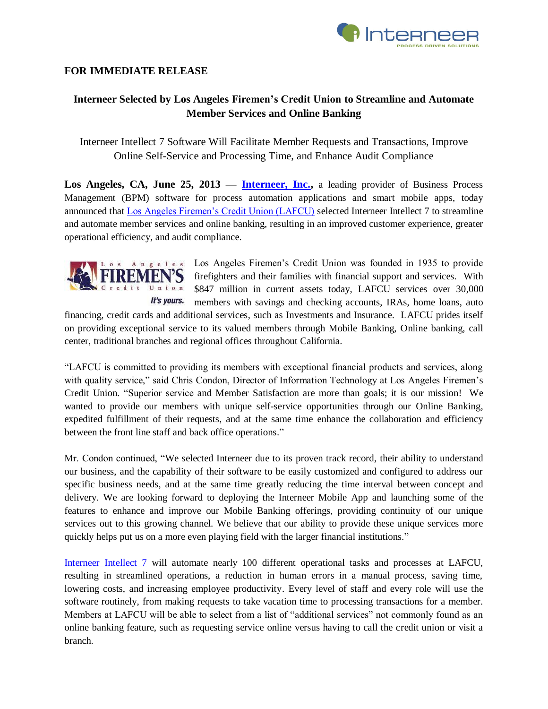

## **FOR IMMEDIATE RELEASE**

## **Interneer Selected by Los Angeles Firemen's Credit Union to Streamline and Automate Member Services and Online Banking**

Interneer Intellect 7 Software Will Facilitate Member Requests and Transactions, Improve Online Self-Service and Processing Time, and Enhance Audit Compliance

Los Angeles, CA, June 25, 2013 – **Interneer, Inc.**, a leading provider of Business Process Management (BPM) software for process automation applications and smart mobile apps, today announced that [Los Angeles Firemen's Credit Union \(LAFCU\)](https://www.lafirecu.org/) selected Interneer Intellect 7 to streamline and automate member services and online banking, resulting in an improved customer experience, greater operational efficiency, and audit compliance.



Los Angeles Firemen's Credit Union was founded in 1935 to provide firefighters and their families with financial support and services. With \$847 million in current assets today, LAFCU services over 30,000 members with savings and checking accounts, IRAs, home loans, auto

financing, credit cards and additional services, such as Investments and Insurance. LAFCU prides itself on providing exceptional service to its valued members through Mobile Banking, Online banking, call center, traditional branches and regional offices throughout California.

"LAFCU is committed to providing its members with exceptional financial products and services, along with quality service," said Chris Condon, Director of Information Technology at Los Angeles Firemen's Credit Union. "Superior service and Member Satisfaction are more than goals; it is our mission! We wanted to provide our members with unique self-service opportunities through our Online Banking, expedited fulfillment of their requests, and at the same time enhance the collaboration and efficiency between the front line staff and back office operations."

Mr. Condon continued, "We selected Interneer due to its proven track record, their ability to understand our business, and the capability of their software to be easily customized and configured to address our specific business needs, and at the same time greatly reducing the time interval between concept and delivery. We are looking forward to deploying the Interneer Mobile App and launching some of the features to enhance and improve our Mobile Banking offerings, providing continuity of our unique services out to this growing channel. We believe that our ability to provide these unique services more quickly helps put us on a more even playing field with the larger financial institutions."

[Interneer Intellect 7](http://www.interneer.com/hosted-workflow-products-services/intellect-cloud/) will automate nearly 100 different operational tasks and processes at LAFCU, resulting in streamlined operations, a reduction in human errors in a manual process, saving time, lowering costs, and increasing employee productivity. Every level of staff and every role will use the software routinely, from making requests to take vacation time to processing transactions for a member. Members at LAFCU will be able to select from a list of "additional services" not commonly found as an online banking feature, such as requesting service online versus having to call the credit union or visit a branch.